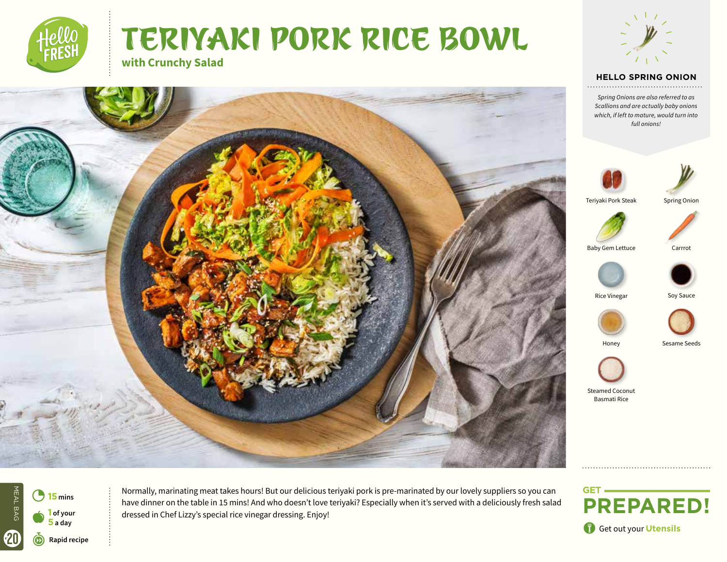







#### **HELLO TEXT HELLO SPRING ONION**

*Text Spring Onions are also referred to as Scallions and are actually baby onions which, if left to mature, would turn into full onions!*





Teriyaki Pork Steak

Spring Onion



Baby Gem Lettuce Carrrot







Honey Sesame Seeds



Steamed Coconut Basmati Rice

Get out your Utensils



<sup>15</sup> mins **Normally, marinating meat takes hours! But** our delicious teriyaki pork is pre-marinated by our lovely suppliers so you can have dinner on the table in 15 mins! And who doesn't love teriyaki? Especially when it's served with a deliciously fresh salad **1** of your **disk of the set of the full contract of the set of the dressing. Enjoy!**